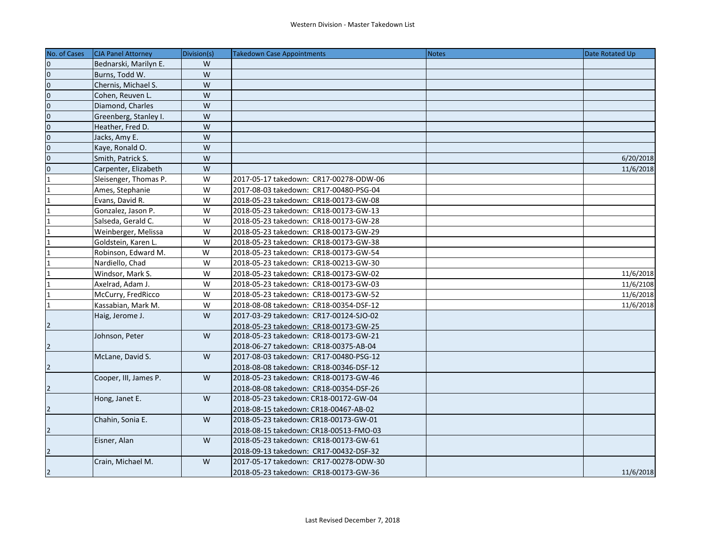| No. of Cases            | <b>CJA Panel Attorney</b> | Division(s) | Takedown Case Appointments             | <b>Notes</b> | Date Rotated Up |
|-------------------------|---------------------------|-------------|----------------------------------------|--------------|-----------------|
| $\mathsf 0$             | Bednarski, Marilyn E.     | W           |                                        |              |                 |
| $\mathbf 0$             | Burns, Todd W.            | W           |                                        |              |                 |
| $\overline{0}$          | Chernis, Michael S.       | W           |                                        |              |                 |
| $\pmb{0}$               | Cohen, Reuven L.          | W           |                                        |              |                 |
| $\overline{0}$          | Diamond, Charles          | W           |                                        |              |                 |
| $\overline{\mathbf{0}}$ | Greenberg, Stanley I.     | W           |                                        |              |                 |
| $\overline{0}$          | Heather, Fred D.          | W           |                                        |              |                 |
| $\overline{0}$          | Jacks, Amy E.             | W           |                                        |              |                 |
| $\mathsf 0$             | Kaye, Ronald O.           | W           |                                        |              |                 |
| $\overline{\mathbf{0}}$ | Smith, Patrick S.         | W           |                                        |              | 6/20/2018       |
| $\overline{0}$          | Carpenter, Elizabeth      | W           |                                        |              | 11/6/2018       |
| $\overline{1}$          | Sleisenger, Thomas P.     | W           | 2017-05-17 takedown: CR17-00278-ODW-06 |              |                 |
| 1                       | Ames, Stephanie           | W           | 2017-08-03 takedown: CR17-00480-PSG-04 |              |                 |
| 1                       | Evans, David R.           | W           | 2018-05-23 takedown: CR18-00173-GW-08  |              |                 |
| $\mathbf{1}$            | Gonzalez, Jason P.        | W           | 2018-05-23 takedown: CR18-00173-GW-13  |              |                 |
| $\mathbf{1}$            | Salseda, Gerald C.        | W           | 2018-05-23 takedown: CR18-00173-GW-28  |              |                 |
| $\mathbf{1}$            | Weinberger, Melissa       | W           | 2018-05-23 takedown: CR18-00173-GW-29  |              |                 |
|                         | Goldstein. Karen L.       | W           | 2018-05-23 takedown: CR18-00173-GW-38  |              |                 |
| $\mathbf{1}$            | Robinson, Edward M.       | W           | 2018-05-23 takedown: CR18-00173-GW-54  |              |                 |
| $\mathbf{1}$            | Nardiello, Chad           | W           | 2018-05-23 takedown: CR18-00213-GW-30  |              |                 |
| $\mathbf 1$             | Windsor, Mark S.          | W           | 2018-05-23 takedown: CR18-00173-GW-02  |              | 11/6/2018       |
| $\mathbf{1}$            | Axelrad, Adam J.          | W           | 2018-05-23 takedown: CR18-00173-GW-03  |              | 11/6/2108       |
| $\mathbf{1}$            | McCurry, FredRicco        | W           | 2018-05-23 takedown: CR18-00173-GW-52  |              | 11/6/2018       |
| $\mathbf{1}$            | Kassabian, Mark M.        | W           | 2018-08-08 takedown: CR18-00354-DSF-12 |              | 11/6/2018       |
|                         | Haig, Jerome J.           | W           | 2017-03-29 takedown: CR17-00124-SJO-02 |              |                 |
| $\overline{2}$          |                           |             | 2018-05-23 takedown: CR18-00173-GW-25  |              |                 |
|                         | Johnson, Peter            | W           | 2018-05-23 takedown: CR18-00173-GW-21  |              |                 |
| $\overline{2}$          |                           |             | 2018-06-27 takedown: CR18-00375-AB-04  |              |                 |
|                         | McLane, David S.          | W           | 2017-08-03 takedown: CR17-00480-PSG-12 |              |                 |
| $\overline{2}$          |                           |             | 2018-08-08 takedown: CR18-00346-DSF-12 |              |                 |
|                         | Cooper, III, James P.     | W           | 2018-05-23 takedown: CR18-00173-GW-46  |              |                 |
| $\overline{2}$          |                           |             | 2018-08-08 takedown: CR18-00354-DSF-26 |              |                 |
|                         | Hong, Janet E.            | W           | 2018-05-23 takedown: CR18-00172-GW-04  |              |                 |
| $\overline{2}$          |                           |             | 2018-08-15 takedown: CR18-00467-AB-02  |              |                 |
|                         | Chahin, Sonia E.          | W           | 2018-05-23 takedown: CR18-00173-GW-01  |              |                 |
| $\overline{2}$          |                           |             | 2018-08-15 takedown: CR18-00513-FMO-03 |              |                 |
|                         | Eisner, Alan              | W           | 2018-05-23 takedown: CR18-00173-GW-61  |              |                 |
| $\overline{2}$          |                           |             | 2018-09-13 takedown: CR17-00432-DSF-32 |              |                 |
|                         | Crain, Michael M.         | W           | 2017-05-17 takedown: CR17-00278-ODW-30 |              |                 |
| $\overline{2}$          |                           |             | 2018-05-23 takedown: CR18-00173-GW-36  |              | 11/6/2018       |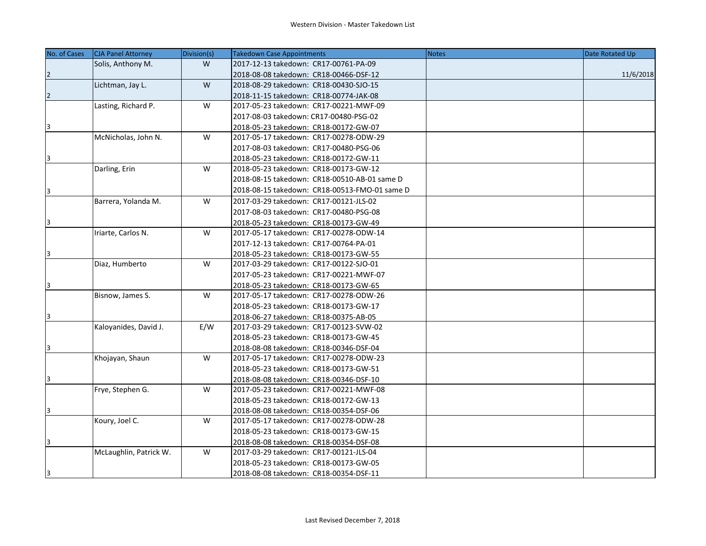| No. of Cases   | <b>CJA Panel Attorney</b> | Division(s) | <b>Takedown Case Appointments</b>             | <b>Notes</b> | Date Rotated Up |
|----------------|---------------------------|-------------|-----------------------------------------------|--------------|-----------------|
|                | Solis, Anthony M.         | W           | 2017-12-13 takedown: CR17-00761-PA-09         |              |                 |
| $\overline{2}$ |                           |             | 2018-08-08 takedown: CR18-00466-DSF-12        |              | 11/6/2018       |
|                | Lichtman, Jay L.          | W           | 2018-08-29 takedown: CR18-00430-SJO-15        |              |                 |
| $\overline{2}$ |                           |             | 2018-11-15 takedown: CR18-00774-JAK-08        |              |                 |
|                | Lasting, Richard P.       | W           | 2017-05-23 takedown: CR17-00221-MWF-09        |              |                 |
|                |                           |             | 2017-08-03 takedown: CR17-00480-PSG-02        |              |                 |
| 13             |                           |             | 2018-05-23 takedown: CR18-00172-GW-07         |              |                 |
|                | McNicholas, John N.       | W           | 2017-05-17 takedown: CR17-00278-ODW-29        |              |                 |
|                |                           |             | 2017-08-03 takedown: CR17-00480-PSG-06        |              |                 |
| 3              |                           |             | 2018-05-23 takedown: CR18-00172-GW-11         |              |                 |
|                | Darling, Erin             | W           | 2018-05-23 takedown: CR18-00173-GW-12         |              |                 |
|                |                           |             | 2018-08-15 takedown: CR18-00510-AB-01 same D  |              |                 |
| 3              |                           |             | 2018-08-15 takedown: CR18-00513-FMO-01 same D |              |                 |
|                | Barrera, Yolanda M.       | W           | 2017-03-29 takedown: CR17-00121-JLS-02        |              |                 |
|                |                           |             | 2017-08-03 takedown: CR17-00480-PSG-08        |              |                 |
| Ι3             |                           |             | 2018-05-23 takedown: CR18-00173-GW-49         |              |                 |
|                | Iriarte, Carlos N.        | W           | 2017-05-17 takedown: CR17-00278-ODW-14        |              |                 |
|                |                           |             | 2017-12-13 takedown: CR17-00764-PA-01         |              |                 |
| 3              |                           |             | 2018-05-23 takedown: CR18-00173-GW-55         |              |                 |
|                | Diaz, Humberto            | W           | 2017-03-29 takedown: CR17-00122-SJO-01        |              |                 |
|                |                           |             | 2017-05-23 takedown: CR17-00221-MWF-07        |              |                 |
| 3              |                           |             | 2018-05-23 takedown: CR18-00173-GW-65         |              |                 |
|                | Bisnow, James S.          | W           | 2017-05-17 takedown: CR17-00278-ODW-26        |              |                 |
|                |                           |             | 2018-05-23 takedown: CR18-00173-GW-17         |              |                 |
| 13             |                           |             | 2018-06-27 takedown: CR18-00375-AB-05         |              |                 |
|                | Kaloyanides, David J.     | E/W         | 2017-03-29 takedown: CR17-00123-SVW-02        |              |                 |
|                |                           |             | 2018-05-23 takedown: CR18-00173-GW-45         |              |                 |
| 3              |                           |             | 2018-08-08 takedown: CR18-00346-DSF-04        |              |                 |
|                | Khojayan, Shaun           | W           | 2017-05-17 takedown: CR17-00278-ODW-23        |              |                 |
|                |                           |             | 2018-05-23 takedown: CR18-00173-GW-51         |              |                 |
| 3              |                           |             | 2018-08-08 takedown: CR18-00346-DSF-10        |              |                 |
|                | Frye, Stephen G.          | W           | 2017-05-23 takedown: CR17-00221-MWF-08        |              |                 |
|                |                           |             | 2018-05-23 takedown: CR18-00172-GW-13         |              |                 |
| 3              |                           |             | 2018-08-08 takedown: CR18-00354-DSF-06        |              |                 |
|                | Koury, Joel C.            | W           | 2017-05-17 takedown: CR17-00278-ODW-28        |              |                 |
|                |                           |             | 2018-05-23 takedown: CR18-00173-GW-15         |              |                 |
| 3              |                           |             | 2018-08-08 takedown: CR18-00354-DSF-08        |              |                 |
|                | McLaughlin, Patrick W.    | W           | 2017-03-29 takedown: CR17-00121-JLS-04        |              |                 |
|                |                           |             | 2018-05-23 takedown: CR18-00173-GW-05         |              |                 |
| 3              |                           |             | 2018-08-08 takedown: CR18-00354-DSF-11        |              |                 |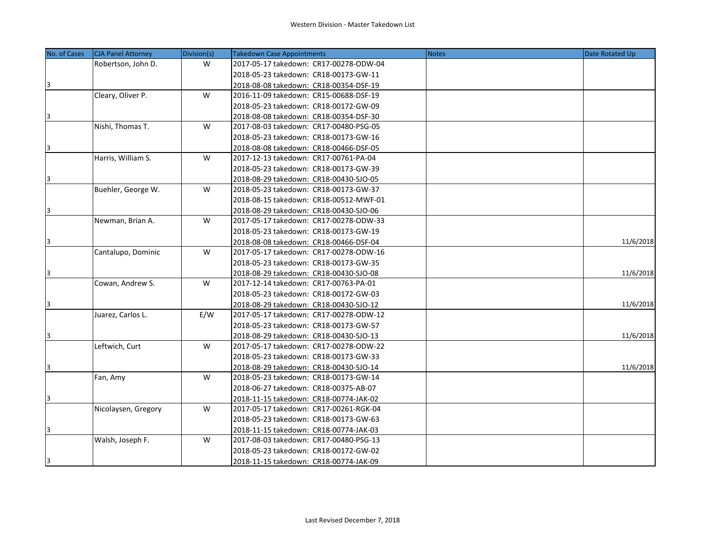| No. of Cases | CJA Panel Attorney  | Division(s) | Takedown Case Appointments             | <b>Notes</b> | Date Rotated Up |
|--------------|---------------------|-------------|----------------------------------------|--------------|-----------------|
|              | Robertson, John D.  | W           | 2017-05-17 takedown: CR17-00278-ODW-04 |              |                 |
|              |                     |             | 2018-05-23 takedown: CR18-00173-GW-11  |              |                 |
| 3            |                     |             | 2018-08-08 takedown: CR18-00354-DSF-19 |              |                 |
|              | Cleary, Oliver P.   | W           | 2016-11-09 takedown: CR15-00688-DSF-19 |              |                 |
|              |                     |             | 2018-05-23 takedown: CR18-00172-GW-09  |              |                 |
| 3            |                     |             | 2018-08-08 takedown: CR18-00354-DSF-30 |              |                 |
|              | Nishi, Thomas T.    | W           | 2017-08-03 takedown: CR17-00480-PSG-05 |              |                 |
|              |                     |             | 2018-05-23 takedown: CR18-00173-GW-16  |              |                 |
| 3            |                     |             | 2018-08-08 takedown: CR18-00466-DSF-05 |              |                 |
|              | Harris, William S.  | W           | 2017-12-13 takedown: CR17-00761-PA-04  |              |                 |
|              |                     |             | 2018-05-23 takedown: CR18-00173-GW-39  |              |                 |
| 3            |                     |             | 2018-08-29 takedown: CR18-00430-SJO-05 |              |                 |
|              | Buehler, George W.  | W           | 2018-05-23 takedown: CR18-00173-GW-37  |              |                 |
|              |                     |             | 2018-08-15 takedown: CR18-00512-MWF-01 |              |                 |
| 3            |                     |             | 2018-08-29 takedown: CR18-00430-SJO-06 |              |                 |
|              | Newman, Brian A.    | W           | 2017-05-17 takedown: CR17-00278-ODW-33 |              |                 |
|              |                     |             | 2018-05-23 takedown: CR18-00173-GW-19  |              |                 |
| 3            |                     |             | 2018-08-08 takedown: CR18-00466-DSF-04 |              | 11/6/2018       |
|              | Cantalupo, Dominic  | W           | 2017-05-17 takedown: CR17-00278-ODW-16 |              |                 |
|              |                     |             | 2018-05-23 takedown: CR18-00173-GW-35  |              |                 |
| 3            |                     |             | 2018-08-29 takedown: CR18-00430-SJO-08 |              | 11/6/2018       |
|              | Cowan, Andrew S.    | W           | 2017-12-14 takedown: CR17-00763-PA-01  |              |                 |
|              |                     |             | 2018-05-23 takedown: CR18-00172-GW-03  |              |                 |
| 3            |                     |             | 2018-08-29 takedown: CR18-00430-SJO-12 |              | 11/6/2018       |
|              | Juarez, Carlos L.   | E/W         | 2017-05-17 takedown: CR17-00278-ODW-12 |              |                 |
|              |                     |             | 2018-05-23 takedown: CR18-00173-GW-57  |              |                 |
| 3            |                     |             | 2018-08-29 takedown: CR18-00430-SJO-13 |              | 11/6/2018       |
|              | Leftwich, Curt      | W           | 2017-05-17 takedown: CR17-00278-ODW-22 |              |                 |
|              |                     |             | 2018-05-23 takedown: CR18-00173-GW-33  |              |                 |
| 3            |                     |             | 2018-08-29 takedown: CR18-00430-SJO-14 |              | 11/6/2018       |
|              | Fan, Amy            | W           | 2018-05-23 takedown: CR18-00173-GW-14  |              |                 |
|              |                     |             | 2018-06-27 takedown: CR18-00375-AB-07  |              |                 |
| 3            |                     |             | 2018-11-15 takedown: CR18-00774-JAK-02 |              |                 |
|              | Nicolaysen, Gregory | W           | 2017-05-17 takedown: CR17-00261-RGK-04 |              |                 |
|              |                     |             | 2018-05-23 takedown: CR18-00173-GW-63  |              |                 |
| 3            |                     |             | 2018-11-15 takedown: CR18-00774-JAK-03 |              |                 |
|              | Walsh, Joseph F.    | W           | 2017-08-03 takedown: CR17-00480-PSG-13 |              |                 |
|              |                     |             | 2018-05-23 takedown: CR18-00172-GW-02  |              |                 |
| 3            |                     |             | 2018-11-15 takedown: CR18-00774-JAK-09 |              |                 |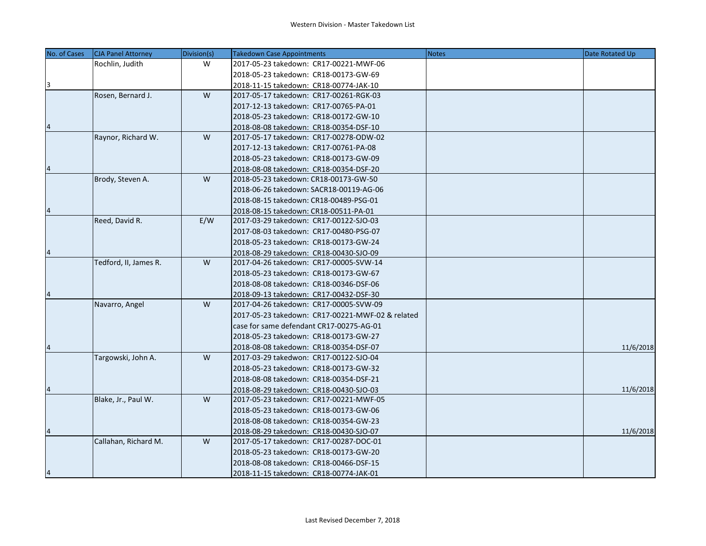| No. of Cases | <b>CJA Panel Attorney</b> | Division(s) | <b>Takedown Case Appointments</b>                | <b>Notes</b> | Date Rotated Up |
|--------------|---------------------------|-------------|--------------------------------------------------|--------------|-----------------|
|              | Rochlin, Judith           | W           | 2017-05-23 takedown: CR17-00221-MWF-06           |              |                 |
|              |                           |             | 2018-05-23 takedown: CR18-00173-GW-69            |              |                 |
| 3            |                           |             | 2018-11-15 takedown: CR18-00774-JAK-10           |              |                 |
|              | Rosen, Bernard J.         | W           | 2017-05-17 takedown: CR17-00261-RGK-03           |              |                 |
|              |                           |             | 2017-12-13 takedown: CR17-00765-PA-01            |              |                 |
|              |                           |             | 2018-05-23 takedown: CR18-00172-GW-10            |              |                 |
|              |                           |             | 2018-08-08 takedown: CR18-00354-DSF-10           |              |                 |
|              | Raynor, Richard W.        | W           | 2017-05-17 takedown: CR17-00278-ODW-02           |              |                 |
|              |                           |             | 2017-12-13 takedown: CR17-00761-PA-08            |              |                 |
|              |                           |             | 2018-05-23 takedown: CR18-00173-GW-09            |              |                 |
| 4            |                           |             | 2018-08-08 takedown: CR18-00354-DSF-20           |              |                 |
|              | Brody, Steven A.          | W           | 2018-05-23 takedown: CR18-00173-GW-50            |              |                 |
|              |                           |             | 2018-06-26 takedown: SACR18-00119-AG-06          |              |                 |
|              |                           |             | 2018-08-15 takedown: CR18-00489-PSG-01           |              |                 |
| 4            |                           |             | 2018-08-15 takedown: CR18-00511-PA-01            |              |                 |
|              | Reed, David R.            | E/W         | 2017-03-29 takedown: CR17-00122-SJO-03           |              |                 |
|              |                           |             | 2017-08-03 takedown: CR17-00480-PSG-07           |              |                 |
|              |                           |             | 2018-05-23 takedown: CR18-00173-GW-24            |              |                 |
| 4            |                           |             | 2018-08-29 takedown: CR18-00430-SJO-09           |              |                 |
|              | Tedford, II, James R.     | W           | 2017-04-26 takedown: CR17-00005-SVW-14           |              |                 |
|              |                           |             | 2018-05-23 takedown: CR18-00173-GW-67            |              |                 |
|              |                           |             | 2018-08-08 takedown: CR18-00346-DSF-06           |              |                 |
|              |                           |             | 2018-09-13 takedown: CR17-00432-DSF-30           |              |                 |
|              | Navarro, Angel            | W           | 2017-04-26 takedown: CR17-00005-SVW-09           |              |                 |
|              |                           |             | 2017-05-23 takedown: CR17-00221-MWF-02 & related |              |                 |
|              |                           |             | case for same defendant CR17-00275-AG-01         |              |                 |
|              |                           |             | 2018-05-23 takedown: CR18-00173-GW-27            |              |                 |
| 4            |                           |             | 2018-08-08 takedown: CR18-00354-DSF-07           |              | 11/6/2018       |
|              | Targowski, John A.        | W           | 2017-03-29 takedwon: CR17-00122-SJO-04           |              |                 |
|              |                           |             | 2018-05-23 takedown: CR18-00173-GW-32            |              |                 |
|              |                           |             | 2018-08-08 takedown: CR18-00354-DSF-21           |              |                 |
| 4            |                           |             | 2018-08-29 takedown: CR18-00430-SJO-03           |              | 11/6/2018       |
|              | Blake, Jr., Paul W.       | W           | 2017-05-23 takedown: CR17-00221-MWF-05           |              |                 |
|              |                           |             | 2018-05-23 takedown: CR18-00173-GW-06            |              |                 |
|              |                           |             | 2018-08-08 takedown: CR18-00354-GW-23            |              |                 |
| 4            |                           |             | 2018-08-29 takedown: CR18-00430-SJO-07           |              | 11/6/2018       |
|              | Callahan, Richard M.      | W           | 2017-05-17 takedown: CR17-00287-DOC-01           |              |                 |
|              |                           |             | 2018-05-23 takedown: CR18-00173-GW-20            |              |                 |
|              |                           |             | 2018-08-08 takedown: CR18-00466-DSF-15           |              |                 |
| 4            |                           |             | 2018-11-15 takedown: CR18-00774-JAK-01           |              |                 |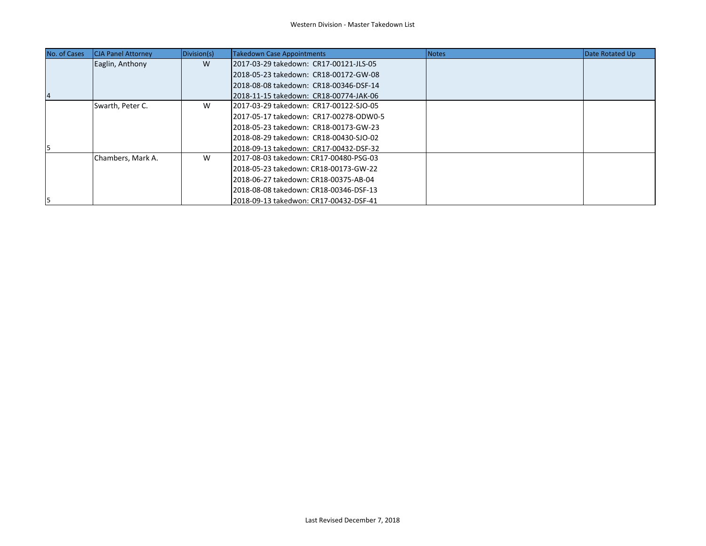| No. of Cases | <b>CJA Panel Attorney</b> | Division(s) | Takedown Case Appointments             | Notes | Date Rotated Up |
|--------------|---------------------------|-------------|----------------------------------------|-------|-----------------|
|              | Eaglin, Anthony           | W           | 2017-03-29 takedown: CR17-00121-JLS-05 |       |                 |
|              |                           |             | 2018-05-23 takedown: CR18-00172-GW-08  |       |                 |
|              |                           |             | 2018-08-08 takedown: CR18-00346-DSF-14 |       |                 |
|              |                           |             | 2018-11-15 takedown: CR18-00774-JAK-06 |       |                 |
|              | Swarth, Peter C.          | W           | 2017-03-29 takedown: CR17-00122-SJO-05 |       |                 |
|              |                           |             | 2017-05-17 takedown: CR17-00278-ODW0-5 |       |                 |
|              |                           |             | 2018-05-23 takedown: CR18-00173-GW-23  |       |                 |
|              |                           |             | 2018-08-29 takedown: CR18-00430-SJO-02 |       |                 |
|              |                           |             | 2018-09-13 takedown: CR17-00432-DSF-32 |       |                 |
|              | Chambers, Mark A.         | W           | 2017-08-03 takedown: CR17-00480-PSG-03 |       |                 |
|              |                           |             | 2018-05-23 takedown: CR18-00173-GW-22  |       |                 |
|              |                           |             | 2018-06-27 takedown: CR18-00375-AB-04  |       |                 |
|              |                           |             | 2018-08-08 takedown: CR18-00346-DSF-13 |       |                 |
| 15           |                           |             | 2018-09-13 takedwon: CR17-00432-DSF-41 |       |                 |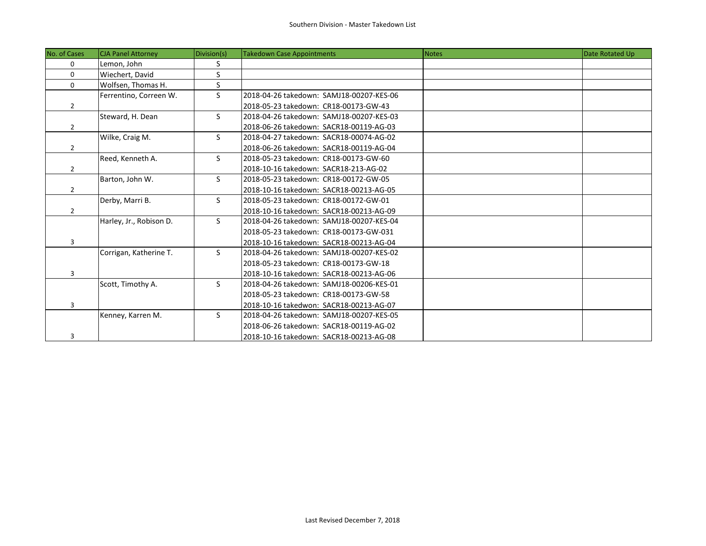| No. of Cases   | <b>CJA Panel Attorney</b> | Division(s) | <b>Takedown Case Appointments</b>        | <b>Notes</b> | Date Rotated Up |
|----------------|---------------------------|-------------|------------------------------------------|--------------|-----------------|
| $\mathbf 0$    | Lemon, John               | S           |                                          |              |                 |
| $\Omega$       | Wiechert, David           | S           |                                          |              |                 |
| 0              | Wolfsen, Thomas H.        | S           |                                          |              |                 |
|                | Ferrentino, Correen W.    | S           | 2018-04-26 takedown: SAMJ18-00207-KES-06 |              |                 |
| $\overline{2}$ |                           |             | 2018-05-23 takedown: CR18-00173-GW-43    |              |                 |
|                | Steward, H. Dean          | S.          | 2018-04-26 takedown: SAMJ18-00207-KES-03 |              |                 |
| $\overline{2}$ |                           |             | 2018-06-26 takedown: SACR18-00119-AG-03  |              |                 |
|                | Wilke, Craig M.           | S.          | 2018-04-27 takedown: SACR18-00074-AG-02  |              |                 |
| $\overline{2}$ |                           |             | 2018-06-26 takedown: SACR18-00119-AG-04  |              |                 |
|                | Reed, Kenneth A.          | S.          | 2018-05-23 takedown: CR18-00173-GW-60    |              |                 |
| $\overline{2}$ |                           |             | 2018-10-16 takedown: SACR18-213-AG-02    |              |                 |
|                | Barton, John W.           | S.          | 2018-05-23 takedown: CR18-00172-GW-05    |              |                 |
| $\overline{2}$ |                           |             | 2018-10-16 takedown: SACR18-00213-AG-05  |              |                 |
|                | Derby, Marri B.           | S.          | 2018-05-23 takedown: CR18-00172-GW-01    |              |                 |
| $\overline{2}$ |                           |             | 2018-10-16 takedown: SACR18-00213-AG-09  |              |                 |
|                | Harley, Jr., Robison D.   | S.          | 2018-04-26 takedown: SAMJ18-00207-KES-04 |              |                 |
|                |                           |             | 2018-05-23 takedown: CR18-00173-GW-031   |              |                 |
| 3              |                           |             | 2018-10-16 takedown: SACR18-00213-AG-04  |              |                 |
|                | Corrigan, Katherine T.    | S.          | 2018-04-26 takedown: SAMJ18-00207-KES-02 |              |                 |
|                |                           |             | 2018-05-23 takedown: CR18-00173-GW-18    |              |                 |
| 3              |                           |             | 2018-10-16 takedown: SACR18-00213-AG-06  |              |                 |
|                | Scott, Timothy A.         | S.          | 2018-04-26 takedown: SAMJ18-00206-KES-01 |              |                 |
|                |                           |             | 2018-05-23 takedown: CR18-00173-GW-58    |              |                 |
| 3              |                           |             | 2018-10-16 takedwon: SACR18-00213-AG-07  |              |                 |
|                | Kenney, Karren M.         | S.          | 2018-04-26 takedown: SAMJ18-00207-KES-05 |              |                 |
|                |                           |             | 2018-06-26 takedown: SACR18-00119-AG-02  |              |                 |
| 3              |                           |             | 2018-10-16 takedown: SACR18-00213-AG-08  |              |                 |